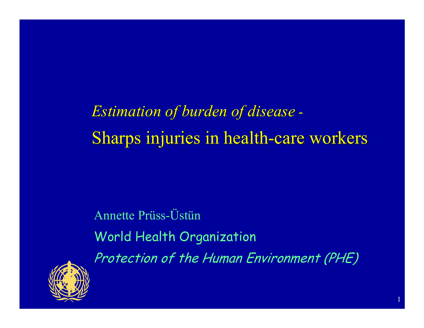*Estimation of burden of disease* - *Estimation of burden of disease Estimation of burden of disease* Sharps injuries in health-care workers -

Annette Prüss-Üstün World Health Organization Protection of the Human Environment (PHE)

1

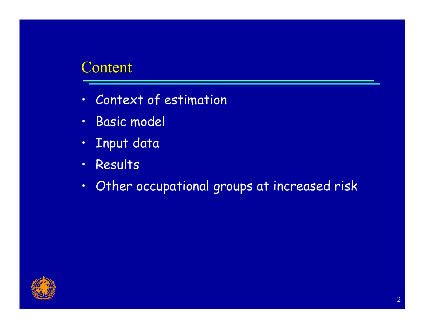## **Content**

- •Context of estimation
- •Basic model
- •Input data
- Results
- •Other occupational groups at increased risk

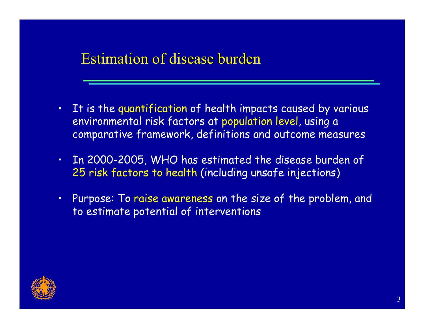## Estimation of disease burden

- •It is the quantification of health impacts caused by various environmental risk factors at population level, using a comparative framework, definitions and outcome measures
- • In 2000-2005, WHO has estimated the disease burden of 25 risk factors to health (including unsafe injections)
- •Purpose: To raise awareness on the size of the problem, and to estimate potential of interventions

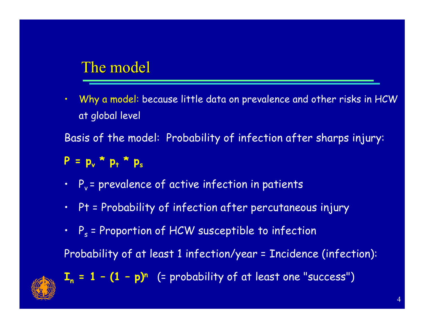## The model

• Why a model: because little data on prevalence and other risks in HCW at global level

Basis of the model: Probability of infection after sharps injury:

$$
P = p_v * p_t * p_s
$$

- $\,$  P $_{\rm v}$  = prevalence of active infection in patients
- Pt = Probability of infection after percutaneous injury
- $\bm{\cdot}$   $\bm{\mathsf{P}}_{\mathsf{s}}$  = Proportion of HCW susceptible to infection

Probability of at least 1 infection/year = Incidence (infection):



**In = 1 – (1 – p)n** (= probability of at least one "success")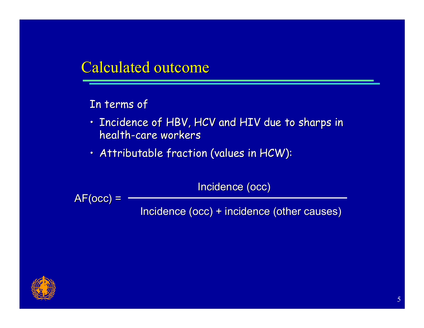## **Calculated outcome**

#### In terms of

- $\cdot$  Incidence of HBV, HCV and HIV due to sharps in health -care workers care workers
- $\,\cdot\,$  Attributable fraction (values in HCW):

Incidence (occ)

AF(occ) =

Incidence (occ) + incidence (other causes)

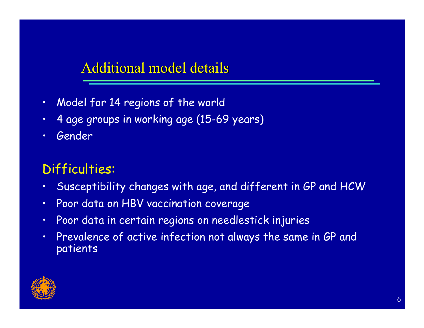## Additional model details

- •Model for 14 regions of the world
- •4 age groups in working age (15-69 years)
- •Gender

## Difficulties:

- •Susceptibility changes with age, and different in GP and HCW
- •Poor data on HBV vaccination coverage
- •Poor data in certain regions on needlestick injuries
- • Prevalence of active infection not always the same in GP and patients

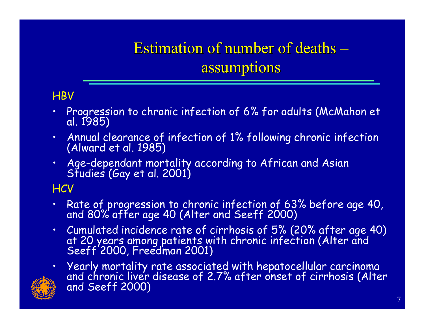# Estimation of number of deaths assumptions

#### **HBV**

- •Progression to chronic infection of 6% for adults (McMahon et al. 1985)
- •Annual clearance of infection of 1% following chronic infection (Alward et al. 1985)
- •Age-depend ant mortality according to African and Asian Studies (Gay et al. 2001)

**HCV** 

- •Rate of progression to chronic infection of 63% before age 40, and 80% after age 40 (Alter and Seeff 2000)
- •Cumulated incidence rate of cirrhosis of 5% (20% after age 40) at 20 years among patients with chronic infection (Alter and Seeff 2000, Freedman 2001)
- •Yearly mortality rate associated with hepatocellular carcinoma and chronic liver disease of 2.7% after onset of cirrhosis (Alter and Seeff 2000)

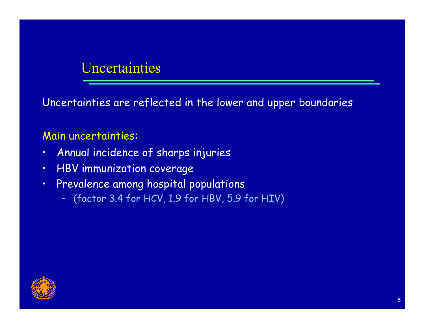### **Uncertainties**

Uncertainties are reflected in the lower and upper boundaries

#### Main uncertainties:

- •Annual incidence of sharps injuries
- •HBV immunization coverage
- • Prevalence among hospital populations
	- (factor 3.4 for HCV, 1.9 for HBV, 5.9 for HIV)

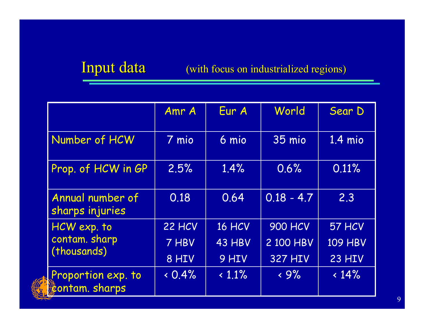|                                      | Amr A  | Eur A         | World          | Sear D         |
|--------------------------------------|--------|---------------|----------------|----------------|
| Number of HCW                        | 7 mio  | 6 mio         | 35 mio         | 1.4 mio        |
| Prop. of HCW in GP                   | 2.5%   | 1.4%          | 0.6%           | 0.11%          |
| Annual number of<br>sharps injuries  | 0.18   | 0.64          | $0.18 - 4.7$   | 2.3            |
| HCW exp. to                          | 22 HCV | <b>16 HCV</b> | <b>900 HCV</b> | <b>57 HCV</b>  |
| contam. sharp<br>(thousands)         | 7 HBV  | 43 HBV        | 2 100 HBV      | <b>109 HBV</b> |
|                                      | 8 HIV  | 9 HIV         | <b>327 HIV</b> | <b>23 HIV</b>  |
| Proportion exp. to<br>contam. sharps | 0.4%   | $\cdot 1.1\%$ | $\cdot$ 9%     | 14%            |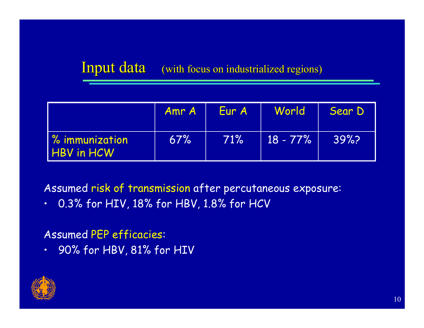## Input data (with focus on industrialized regions)

|                                     | Amr A | Eur A | World       | Sear D |
|-------------------------------------|-------|-------|-------------|--------|
| % immunization<br><b>HBV in HCW</b> | 67%   | 71%   | $18 - 77\%$ | $39\%$ |

Assumed risk of transmission after percutaneous exposure:

•0.3% for HIV, 18% for HBV, 1.8% for HCV

Assumed PEP efficacies:

•90% for HBV, 81% for HIV

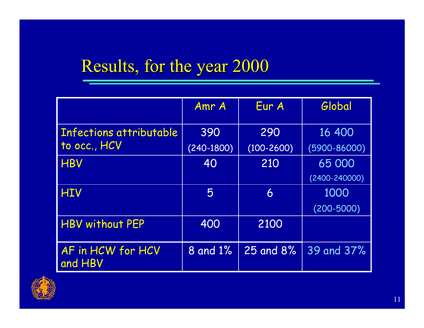# Results, for the year 2000

|                              | Amr A        | Eur A          | Global            |
|------------------------------|--------------|----------------|-------------------|
| Infections attributable      | 390          | 290            | 16 400            |
| to occ., HCV                 | $(240-1800)$ | $(100 - 2600)$ | (5900-86000)      |
| <b>HBV</b>                   | 40           | 210            | 65 000            |
|                              |              |                | $(2400 - 240000)$ |
| <b>HIV</b>                   | 5            | 6              | 1000              |
|                              |              |                | $(200 - 5000)$    |
| <b>HBV without PEP</b>       | 400          | 2100           |                   |
| AF in HCW for HCV<br>and HBV | 8 and 1%     | 25 and 8%      | 39 and 37%        |

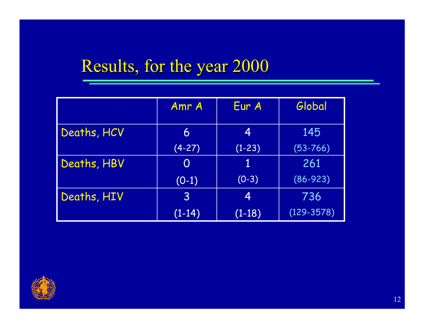# Results, for the year 2000

|             | Amr A          | Eur A    | Global         |
|-------------|----------------|----------|----------------|
| Deaths, HCV | 6              | 4        | 145            |
|             | $(4-27)$       | $(1-23)$ | $(53 - 766)$   |
| Deaths, HBV | O              | 1        | 261            |
|             | $(0-1)$        | $(0-3)$  | $(86 - 923)$   |
| Deaths, HIV | $\overline{3}$ | 4        | 736            |
|             | $(1-14)$       | $(1-18)$ | $(129 - 3578)$ |

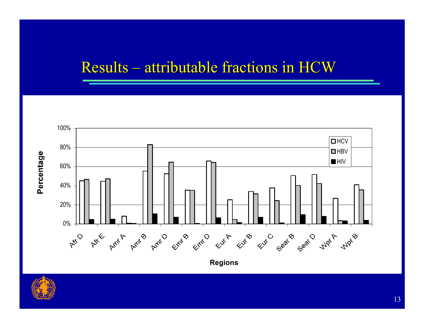## Results – attributable fractions in HCW



**Regions**



Percentage